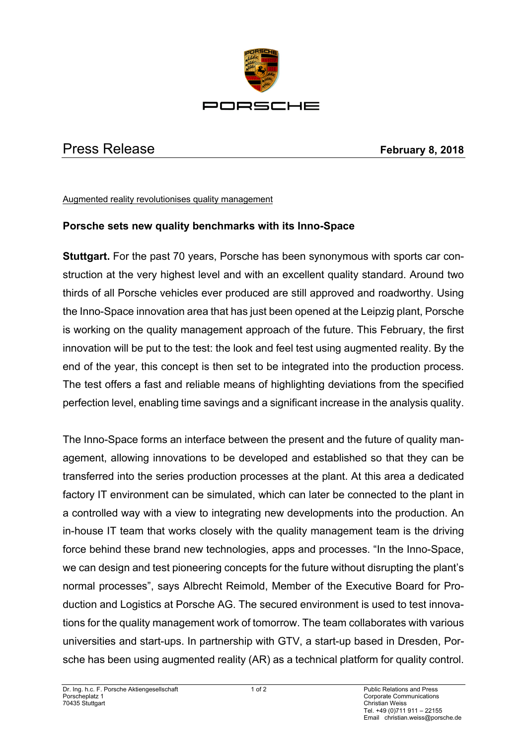

## Press Release **February 8, 2018**

## Augmented reality revolutionises quality management

## **Porsche sets new quality benchmarks with its Inno-Space**

**Stuttgart.** For the past 70 years, Porsche has been synonymous with sports car construction at the very highest level and with an excellent quality standard. Around two thirds of all Porsche vehicles ever produced are still approved and roadworthy. Using the Inno-Space innovation area that has just been opened at the Leipzig plant, Porsche is working on the quality management approach of the future. This February, the first innovation will be put to the test: the look and feel test using augmented reality. By the end of the year, this concept is then set to be integrated into the production process. The test offers a fast and reliable means of highlighting deviations from the specified perfection level, enabling time savings and a significant increase in the analysis quality.

The Inno-Space forms an interface between the present and the future of quality management, allowing innovations to be developed and established so that they can be transferred into the series production processes at the plant. At this area a dedicated factory IT environment can be simulated, which can later be connected to the plant in a controlled way with a view to integrating new developments into the production. An in-house IT team that works closely with the quality management team is the driving force behind these brand new technologies, apps and processes. "In the Inno-Space, we can design and test pioneering concepts for the future without disrupting the plant's normal processes", says Albrecht Reimold, Member of the Executive Board for Production and Logistics at Porsche AG. The secured environment is used to test innovations for the quality management work of tomorrow. The team collaborates with various universities and start-ups. In partnership with GTV, a start-up based in Dresden, Porsche has been using augmented reality (AR) as a technical platform for quality control.